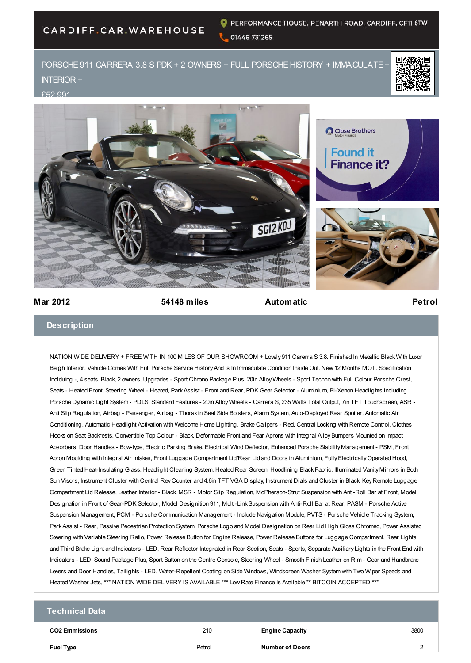# CARDIFF.CAR.WAREHOUSE

PORSCHE 911 CARRERA 3.8 S PDK + 2 OWNERS + FULL PORSCHE HISTORY + IMMACULATE -INTERIOR +

#### £52,991







### **Mar 2012 54148 miles Automatic Petrol**

## **Description**

NATION WIDE DELIVERY + FREE WITH IN 100 MILES OF OUR SHOWROOM + Lovely 911 Carerra S 3.8. Finished In Metallic Black With Luxor Beigh Interior. Vehicle Comes With Full Porsche Service History And Is In Immaculate Condition Inside Out. New 12 Months MOT. Specification Inclduing -, 4 seats, Black, 2 owners, Upgrades - Sport Chrono Package Plus, 20in Alloy Wheels - Sport Techno with Full Colour Porsche Crest, Seats - Heated Front, Steering Wheel - Heated, Park Assist - Front and Rear, PDK Gear Selector - Aluminium, Bi-Xenon Headlights including Porsche Dynamic Light System - PDLS, Standard Features - 20in Alloy Wheels - Carrera S, 235 Watts Total Output, 7in TFT Touchscreen, ASR - Anti Slip Regulation, Airbag - Passenger, Airbag - Thorax in Seat Side Bolsters, Alarm System, Auto-Deployed Rear Spoiler, Automatic Air Conditioning, Automatic Headlight Activation with Welcome Home Lighting, Brake Calipers - Red, Central Locking with Remote Control, Clothes Hooks on Seat Backrests, Convertible Top Colour - Black, Deformable Front and Fear Aprons with Integral Alloy Bumpers Mounted on Impact Absorbers, Door Handles - Bow-type, Electric Parking Brake, Electrical Wind Deflector, Enhanced Porsche Stability Management - PSM, Front Apron Moulding with Integral Air Intakes, Front Luggage Compartment Lid/Rear Lid and Doors in Aluminium, Fully Electrically Operated Hood, Green Tinted Heat-Insulating Glass, Headlight Cleaning System, Heated Rear Screen, Hoodlining Black Fabric, Illuminated Vanity Mirrors in Both Sun Visors, Instrument Cluster with Central Rev Counter and 4.6in TFT VGA Display, Instrument Dials and Cluster in Black, Key Remote Luggage Compartment Lid Release, Leather Interior - Black, MSR - Motor Slip Regulation, McPherson-Strut Suspension with Anti-Roll Bar at Front, Model Designation in Front of Gear-PDK Selector, Model Designition 911, Multi-Link Suspension with Anti-Roll Bar at Rear, PASM - Porsche Active Suspension Management, PCM - Porsche Communication Management - Include Navigation Module, PVTS - Porsche Vehicle Tracking System, Park Assist - Rear, Passive Pedestrian Protection System, Porsche Logo and Model Designation on Rear Lid High Gloss Chromed, Power Assisted Steering with Variable Steering Ratio, Power Release Button for Engine Release, Power Release Buttons for Luggage Compartment, Rear Lights and Third Brake Light and Indicators - LED, Rear Reflector Integrated in Rear Section, Seats - Sports, Separate Auxiliary Lights in the Front End with Indicators - LED, Sound Package Plus, Sport Button on the Centre Console, Steering Wheel - Smooth Finish Leather on Rim - Gear and Handbrake Levers and Door Handles, Tailights - LED, Water-Repellent Coating on Side Windows, Windscreen Washer System with Two Wiper Speeds and Heated Washer Jets, \*\*\* NATION WIDE DELIVERY IS AVAILABLE \*\*\* Low Rate Finance Is Available \*\* BITCOIN ACCEPTED \*\*\*

## **Technical Data**

**CO2 Emmissions** 210 **Engine Capacity** 3800

**Fuel Type** Petrol **Number of Doors** 2